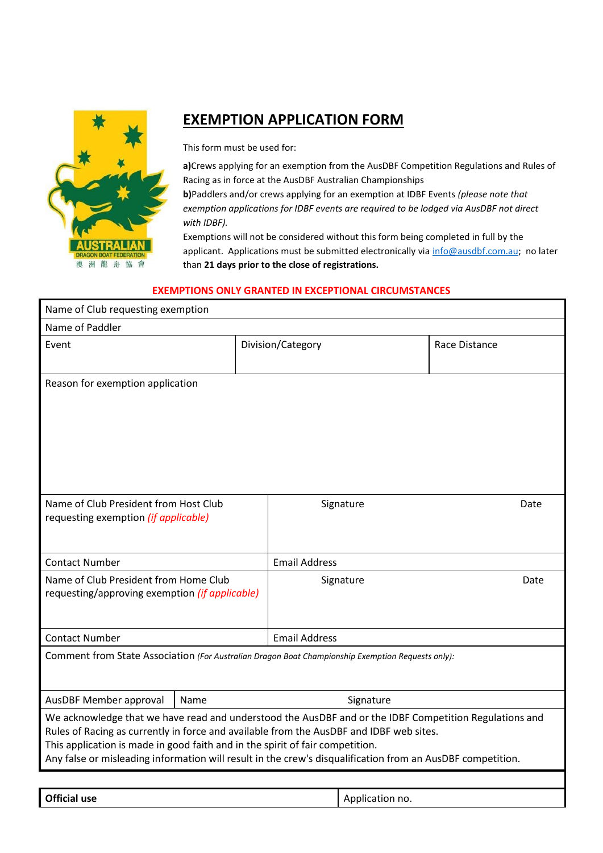

## **EXEMPTION APPLICATION FORM**

This form must be used for:

**a)**Crews applying for an exemption from the AusDBF Competition Regulations and Rules of Racing as in force at the AusDBF Australian Championships

**b)**Paddlers and/or crews applying for an exemption at IDBF Events *(please note that exemption applications for IDBF events are required to be lodged via AusDBF not direct with IDBF).* 

Exemptions will not be considered without this form being completed in full by the applicant. Applications must be submitted electronically via [info@ausdbf.com.au;](mailto:info@ausdbf.com.au) no later than **21 days prior to the close of registrations.**

## **EXEMPTIONS ONLY GRANTED IN EXCEPTIONAL CIRCUMSTANCES**

| Name of Club requesting exemption                                                                                                                                                                                                                                                                                                                                                                |                      |                      |                 |      |  |  |  |
|--------------------------------------------------------------------------------------------------------------------------------------------------------------------------------------------------------------------------------------------------------------------------------------------------------------------------------------------------------------------------------------------------|----------------------|----------------------|-----------------|------|--|--|--|
| Name of Paddler                                                                                                                                                                                                                                                                                                                                                                                  |                      |                      |                 |      |  |  |  |
| Event                                                                                                                                                                                                                                                                                                                                                                                            | Division/Category    |                      | Race Distance   |      |  |  |  |
| Reason for exemption application                                                                                                                                                                                                                                                                                                                                                                 |                      |                      |                 |      |  |  |  |
| Name of Club President from Host Club<br>requesting exemption (if applicable)                                                                                                                                                                                                                                                                                                                    |                      | Signature            | Date            |      |  |  |  |
| <b>Contact Number</b>                                                                                                                                                                                                                                                                                                                                                                            | <b>Email Address</b> |                      |                 |      |  |  |  |
| Name of Club President from Home Club<br>requesting/approving exemption (if applicable)                                                                                                                                                                                                                                                                                                          |                      |                      | Signature       | Date |  |  |  |
| <b>Contact Number</b>                                                                                                                                                                                                                                                                                                                                                                            |                      | <b>Email Address</b> |                 |      |  |  |  |
| Comment from State Association (For Australian Dragon Boat Championship Exemption Requests only):                                                                                                                                                                                                                                                                                                |                      |                      |                 |      |  |  |  |
| AusDBF Member approval                                                                                                                                                                                                                                                                                                                                                                           | Name                 | Signature            |                 |      |  |  |  |
| We acknowledge that we have read and understood the AusDBF and or the IDBF Competition Regulations and<br>Rules of Racing as currently in force and available from the AusDBF and IDBF web sites.<br>This application is made in good faith and in the spirit of fair competition.<br>Any false or misleading information will result in the crew's disqualification from an AusDBF competition. |                      |                      |                 |      |  |  |  |
|                                                                                                                                                                                                                                                                                                                                                                                                  |                      |                      |                 |      |  |  |  |
| <b>Official use</b>                                                                                                                                                                                                                                                                                                                                                                              |                      |                      | Application no. |      |  |  |  |